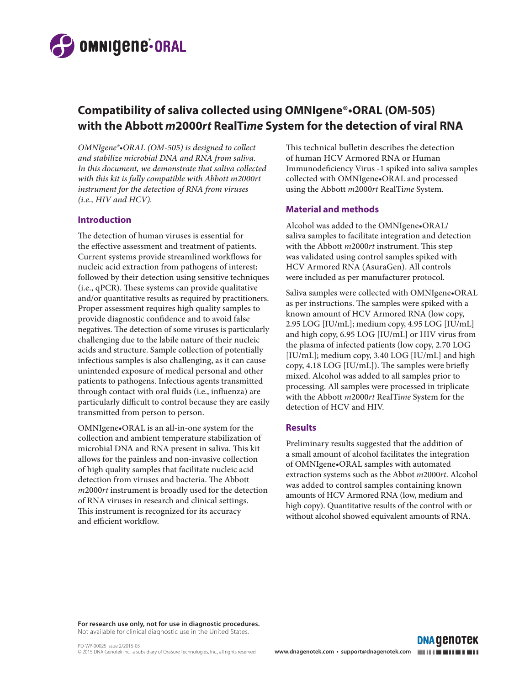

# **Compatibility of saliva collected using OMNIgene®•ORAL (OM-505) with the Abbott** *m***2000***rt* **RealTi***me* **System for the detection of viral RNA**

*OMNIgene®•ORAL (OM-505) is designed to collect and stabilize microbial DNA and RNA from saliva. In this document, we demonstrate that saliva collected with this kit is fully compatible with Abbott m2000rt instrument for the detection of RNA from viruses (i.e., HIV and HCV).*

#### **Introduction**

The detection of human viruses is essential for the effective assessment and treatment of patients. Current systems provide streamlined workflows for nucleic acid extraction from pathogens of interest; followed by their detection using sensitive techniques (i.e., qPCR). These systems can provide qualitative and/or quantitative results as required by practitioners. Proper assessment requires high quality samples to provide diagnostic confidence and to avoid false negatives. The detection of some viruses is particularly challenging due to the labile nature of their nucleic acids and structure. Sample collection of potentially infectious samples is also challenging, as it can cause unintended exposure of medical personal and other patients to pathogens. Infectious agents transmitted through contact with oral fluids (i.e., influenza) are particularly difficult to control because they are easily transmitted from person to person.

OMNIgene•ORAL is an all-in-one system for the collection and ambient temperature stabilization of microbial DNA and RNA present in saliva. This kit allows for the painless and non-invasive collection of high quality samples that facilitate nucleic acid detection from viruses and bacteria. The Abbott *m*2000*rt* instrument is broadly used for the detection of RNA viruses in research and clinical settings. This instrument is recognized for its accuracy and efficient workflow.

This technical bulletin describes the detection of human HCV Armored RNA or Human Immunodeficiency Virus -1 spiked into saliva samples collected with OMNIgene•ORAL and processed using the Abbott *m*2000*rt* RealTi*me* System.

### **Material and methods**

Alcohol was added to the OMNIgene•ORAL/ saliva samples to facilitate integration and detection with the Abbott *m*2000*rt* instrument. This step was validated using control samples spiked with HCV Armored RNA (AsuraGen). All controls were included as per manufacturer protocol.

Saliva samples were collected with OMNIgene•ORAL as per instructions. The samples were spiked with a known amount of HCV Armored RNA (low copy, 2.95 LOG [IU/mL]; medium copy, 4.95 LOG [IU/mL] and high copy, 6.95 LOG [IU/mL] or HIV virus from the plasma of infected patients (low copy, 2.70 LOG [IU/mL]; medium copy, 3.40 LOG [IU/mL] and high copy, 4.18 LOG [IU/mL]). The samples were briefly mixed. Alcohol was added to all samples prior to processing. All samples were processed in triplicate with the Abbott *m*2000*rt* RealTi*me* System for the detection of HCV and HIV.

## **Results**

Preliminary results suggested that the addition of a small amount of alcohol facilitates the integration of OMNIgene•ORAL samples with automated extraction systems such as the Abbot *m*2000*rt*. Alcohol was added to control samples containing known amounts of HCV Armored RNA (low, medium and high copy). Quantitative results of the control with or without alcohol showed equivalent amounts of RNA.

**DNA GENOTEK** 

**For research use only, not for use in diagnostic procedures.**  Not available for clinical diagnostic use in the United States.